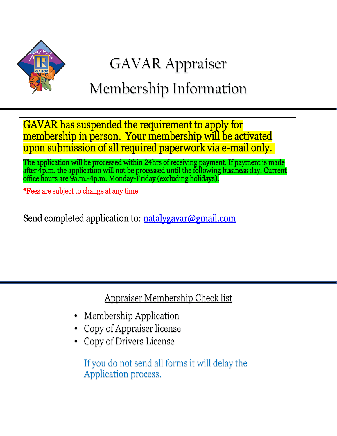

# GAVAR Appraiser

# Membership Information

GAVAR has suspended the requirement to apply for membership in person. Your membership will be activated upon submission of all required paperwork via e-mail only.

The application will be processed within 24hrs of receiving payment. If payment is made after 4p.m. the application will not be processed until the following business day. Current office hours are 9a.m.-4p.m. Monday-Friday (excluding holidays).

\*Fees are subject to change at any time

Send completed application to: <u>natalygavar@gmail.com</u>

Appraiser Membership Check list

- Membership Application
- Copy of Appraiser license
- Copy of Drivers License

If you do not send all forms it will delay the Application process.